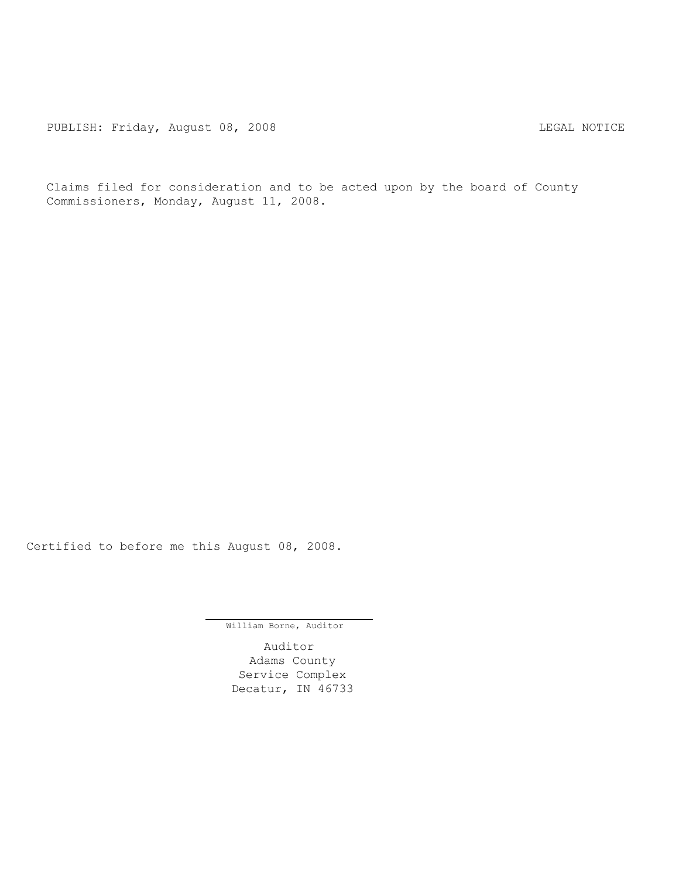Claims filed for consideration and to be acted upon by the board of County Commissioners, Monday, August 11, 2008.

Certified to before me this August 08, 2008.

William Borne, Auditor

Auditor Adams County Service Complex Decatur, IN 46733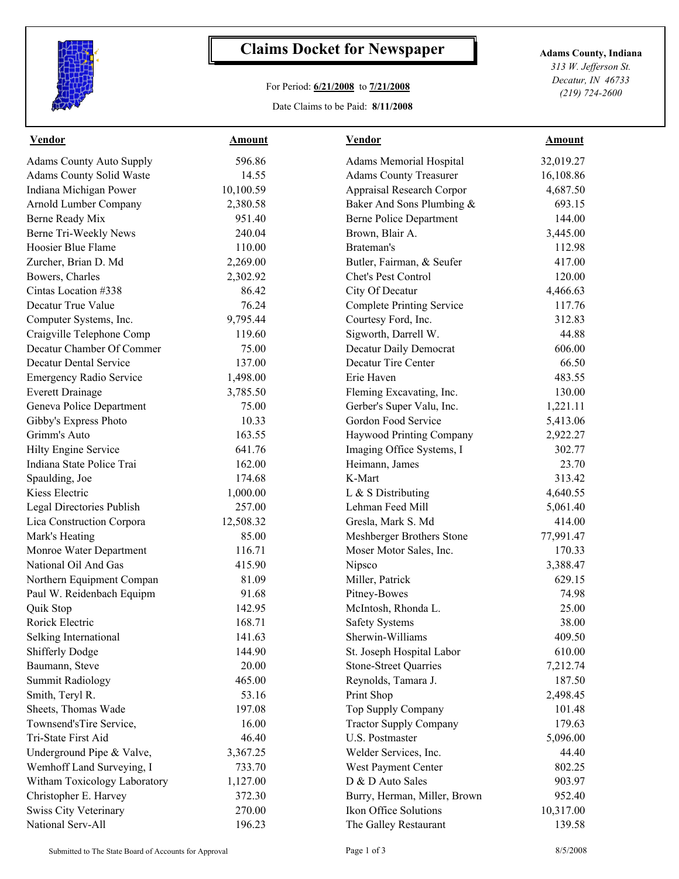

## **Claims Docket for Newspaper Adams County, Indiana**

## For Period: **6/21/2008** to **7/21/2008**

Date Claims to be Paid: **8/11/2008**

*313 W. Jefferson St. Decatur, IN 46733 (219) 724-2600*

| <b>Vendor</b>                   | <b>Amount</b> | <b>Vendor</b>                    | <b>Amount</b> |  |
|---------------------------------|---------------|----------------------------------|---------------|--|
| <b>Adams County Auto Supply</b> | 596.86        | <b>Adams Memorial Hospital</b>   | 32,019.27     |  |
| Adams County Solid Waste        | 14.55         | <b>Adams County Treasurer</b>    | 16,108.86     |  |
| Indiana Michigan Power          | 10,100.59     | Appraisal Research Corpor        | 4,687.50      |  |
| Arnold Lumber Company           | 2,380.58      | Baker And Sons Plumbing &        | 693.15        |  |
| Berne Ready Mix                 | 951.40        | <b>Berne Police Department</b>   | 144.00        |  |
| Berne Tri-Weekly News           | 240.04        | Brown, Blair A.                  | 3,445.00      |  |
| Hoosier Blue Flame              | 110.00        | Brateman's                       | 112.98        |  |
| Zurcher, Brian D. Md            | 2,269.00      | Butler, Fairman, & Seufer        | 417.00        |  |
| Bowers, Charles                 | 2,302.92      | Chet's Pest Control              | 120.00        |  |
| Cintas Location #338            | 86.42         | City Of Decatur                  | 4,466.63      |  |
| Decatur True Value              | 76.24         | <b>Complete Printing Service</b> | 117.76        |  |
| Computer Systems, Inc.          | 9,795.44      | Courtesy Ford, Inc.              | 312.83        |  |
| Craigville Telephone Comp       | 119.60        | Sigworth, Darrell W.             | 44.88         |  |
| Decatur Chamber Of Commer       | 75.00         | Decatur Daily Democrat           | 606.00        |  |
| <b>Decatur Dental Service</b>   | 137.00        | Decatur Tire Center              | 66.50         |  |
| <b>Emergency Radio Service</b>  | 1,498.00      | Erie Haven                       | 483.55        |  |
| <b>Everett Drainage</b>         | 3,785.50      | Fleming Excavating, Inc.         | 130.00        |  |
| Geneva Police Department        | 75.00         | Gerber's Super Valu, Inc.        | 1,221.11      |  |
| Gibby's Express Photo           | 10.33         | Gordon Food Service              | 5,413.06      |  |
| Grimm's Auto                    | 163.55        | Haywood Printing Company         | 2,922.27      |  |
| Hilty Engine Service            | 641.76        | Imaging Office Systems, I        | 302.77        |  |
| Indiana State Police Trai       | 162.00        | Heimann, James                   | 23.70         |  |
| Spaulding, Joe                  | 174.68        | K-Mart                           | 313.42        |  |
| Kiess Electric                  | 1,000.00      | L & S Distributing               | 4,640.55      |  |
| Legal Directories Publish       | 257.00        | Lehman Feed Mill                 | 5,061.40      |  |
| Lica Construction Corpora       | 12,508.32     | Gresla, Mark S. Md               | 414.00        |  |
| Mark's Heating                  | 85.00         | Meshberger Brothers Stone        | 77,991.47     |  |
| Monroe Water Department         | 116.71        | Moser Motor Sales, Inc.          | 170.33        |  |
| National Oil And Gas            | 415.90        | Nipsco                           | 3,388.47      |  |
| Northern Equipment Compan       | 81.09         | Miller, Patrick                  | 629.15        |  |
| Paul W. Reidenbach Equipm       | 91.68         | Pitney-Bowes                     | 74.98         |  |
| Quik Stop                       | 142.95        | McIntosh, Rhonda L.              | 25.00         |  |
| Rorick Electric                 | 168.71        | <b>Safety Systems</b>            | 38.00         |  |
| Selking International           | 141.63        | Sherwin-Williams                 | 409.50        |  |
| <b>Shifferly Dodge</b>          | 144.90        | St. Joseph Hospital Labor        | 610.00        |  |
| Baumann, Steve                  | 20.00         | <b>Stone-Street Quarries</b>     | 7,212.74      |  |
| <b>Summit Radiology</b>         | 465.00        | Reynolds, Tamara J.              | 187.50        |  |
| Smith, Teryl R.                 | 53.16         | Print Shop                       | 2,498.45      |  |
| Sheets, Thomas Wade             | 197.08        | Top Supply Company               | 101.48        |  |
| Townsend'sTire Service,         | 16.00         | <b>Tractor Supply Company</b>    | 179.63        |  |
| Tri-State First Aid             | 46.40         | U.S. Postmaster                  | 5,096.00      |  |
| Underground Pipe & Valve,       | 3,367.25      | Welder Services, Inc.            | 44.40         |  |
| Wemhoff Land Surveying, I       | 733.70        | West Payment Center              | 802.25        |  |
| Witham Toxicology Laboratory    | 1,127.00      | D & D Auto Sales                 | 903.97        |  |
| Christopher E. Harvey           | 372.30        | Burry, Herman, Miller, Brown     | 952.40        |  |
| <b>Swiss City Veterinary</b>    | 270.00        | Ikon Office Solutions            | 10,317.00     |  |
| National Serv-All               | 196.23        | The Galley Restaurant            | 139.58        |  |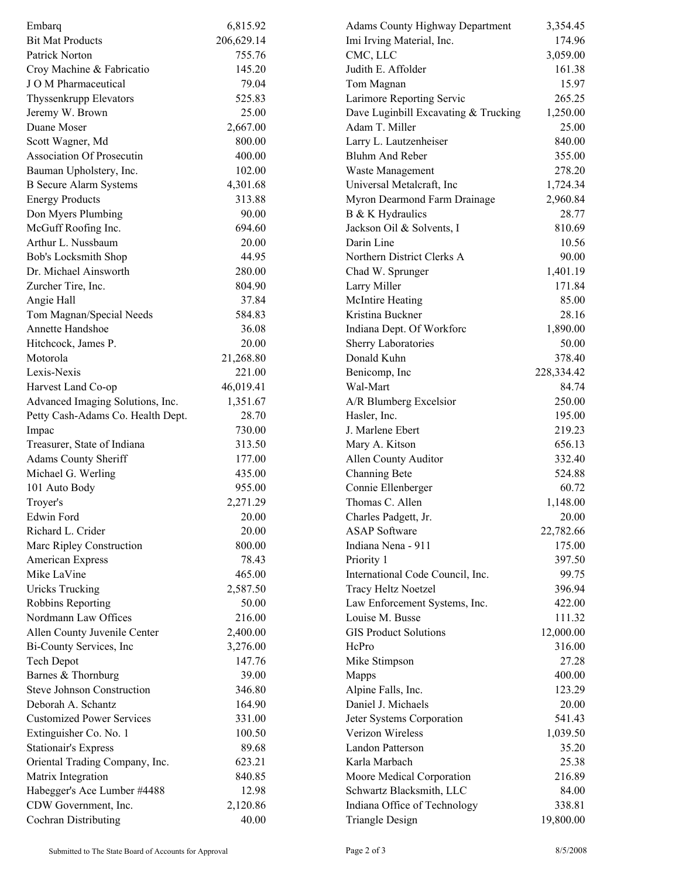| Embarq                            | 6,815.92   | <b>Adams County Highway Department</b> | 3,354.45   |
|-----------------------------------|------------|----------------------------------------|------------|
| <b>Bit Mat Products</b>           | 206,629.14 | Imi Irving Material, Inc.              | 174.96     |
| Patrick Norton                    | 755.76     | CMC, LLC                               | 3,059.00   |
| Croy Machine & Fabricatio         | 145.20     | Judith E. Affolder                     | 161.38     |
| J O M Pharmaceutical              | 79.04      | Tom Magnan                             | 15.97      |
| Thyssenkrupp Elevators            | 525.83     | Larimore Reporting Servic              | 265.25     |
| Jeremy W. Brown                   | 25.00      | Dave Luginbill Excavating & Trucking   | 1,250.00   |
| Duane Moser                       | 2,667.00   | Adam T. Miller                         | 25.00      |
| Scott Wagner, Md                  | 800.00     | Larry L. Lautzenheiser                 | 840.00     |
| <b>Association Of Prosecutin</b>  | 400.00     | Bluhm And Reber                        | 355.00     |
| Bauman Upholstery, Inc.           | 102.00     | Waste Management                       | 278.20     |
| <b>B</b> Secure Alarm Systems     | 4,301.68   | Universal Metalcraft, Inc              | 1,724.34   |
| <b>Energy Products</b>            | 313.88     | Myron Dearmond Farm Drainage           | 2,960.84   |
| Don Myers Plumbing                | 90.00      | B & K Hydraulics                       | 28.77      |
| McGuff Roofing Inc.               | 694.60     | Jackson Oil & Solvents, I              | 810.69     |
| Arthur L. Nussbaum                | 20.00      | Darin Line                             | 10.56      |
| Bob's Locksmith Shop              | 44.95      | Northern District Clerks A             | 90.00      |
| Dr. Michael Ainsworth             | 280.00     | Chad W. Sprunger                       | 1,401.19   |
| Zurcher Tire, Inc.                | 804.90     | Larry Miller                           | 171.84     |
| Angie Hall                        | 37.84      | <b>McIntire Heating</b>                | 85.00      |
| Tom Magnan/Special Needs          | 584.83     | Kristina Buckner                       | 28.16      |
| Annette Handshoe                  | 36.08      | Indiana Dept. Of Workforc              | 1,890.00   |
| Hitchcock, James P.               | 20.00      | Sherry Laboratories                    | 50.00      |
| Motorola                          | 21,268.80  | Donald Kuhn                            | 378.40     |
| Lexis-Nexis                       | 221.00     | Benicomp, Inc                          | 228,334.42 |
| Harvest Land Co-op                | 46,019.41  | Wal-Mart                               | 84.74      |
| Advanced Imaging Solutions, Inc.  | 1,351.67   | A/R Blumberg Excelsior                 | 250.00     |
| Petty Cash-Adams Co. Health Dept. | 28.70      | Hasler, Inc.                           | 195.00     |
|                                   | 730.00     | J. Marlene Ebert                       | 219.23     |
| Impac                             | 313.50     |                                        | 656.13     |
| Treasurer, State of Indiana       |            | Mary A. Kitson                         | 332.40     |
| Adams County Sheriff              | 177.00     | Allen County Auditor                   |            |
| Michael G. Werling                | 435.00     | Channing Bete                          | 524.88     |
| 101 Auto Body                     | 955.00     | Connie Ellenberger                     | 60.72      |
| Troyer's                          | 2,271.29   | Thomas C. Allen                        | 1,148.00   |
| Edwin Ford                        | 20.00      | Charles Padgett, Jr.                   | 20.00      |
| Richard L. Crider                 | 20.00      | <b>ASAP</b> Software                   | 22,782.66  |
| Marc Ripley Construction          | 800.00     | Indiana Nena - 911                     | 175.00     |
| American Express                  | 78.43      | Priority 1                             | 397.50     |
| Mike LaVine                       | 465.00     | International Code Council, Inc.       | 99.75      |
| <b>Uricks Trucking</b>            | 2,587.50   | <b>Tracy Heltz Noetzel</b>             | 396.94     |
| Robbins Reporting                 | 50.00      | Law Enforcement Systems, Inc.          | 422.00     |
| Nordmann Law Offices              | 216.00     | Louise M. Busse                        | 111.32     |
| Allen County Juvenile Center      | 2,400.00   | <b>GIS Product Solutions</b>           | 12,000.00  |
| Bi-County Services, Inc           | 3,276.00   | HcPro                                  | 316.00     |
| <b>Tech Depot</b>                 | 147.76     | Mike Stimpson                          | 27.28      |
| Barnes & Thornburg                | 39.00      | Mapps                                  | 400.00     |
| Steve Johnson Construction        | 346.80     | Alpine Falls, Inc.                     | 123.29     |
| Deborah A. Schantz                | 164.90     | Daniel J. Michaels                     | 20.00      |
| <b>Customized Power Services</b>  | 331.00     | Jeter Systems Corporation              | 541.43     |
| Extinguisher Co. No. 1            | 100.50     | Verizon Wireless                       | 1,039.50   |
| <b>Stationair's Express</b>       | 89.68      | Landon Patterson                       | 35.20      |
| Oriental Trading Company, Inc.    | 623.21     | Karla Marbach                          | 25.38      |
| Matrix Integration                | 840.85     | Moore Medical Corporation              | 216.89     |
| Habegger's Ace Lumber #4488       | 12.98      | Schwartz Blacksmith, LLC               | 84.00      |
| CDW Government, Inc.              | 2,120.86   | Indiana Office of Technology           | 338.81     |
| <b>Cochran Distributing</b>       | 40.00      | <b>Triangle Design</b>                 | 19,800.00  |